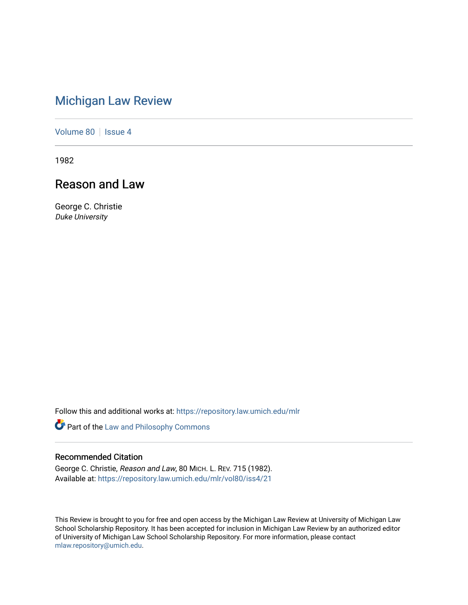## [Michigan Law Review](https://repository.law.umich.edu/mlr)

[Volume 80](https://repository.law.umich.edu/mlr/vol80) | [Issue 4](https://repository.law.umich.edu/mlr/vol80/iss4)

1982

## Reason and Law

George C. Christie Duke University

Follow this and additional works at: [https://repository.law.umich.edu/mlr](https://repository.law.umich.edu/mlr?utm_source=repository.law.umich.edu%2Fmlr%2Fvol80%2Fiss4%2F21&utm_medium=PDF&utm_campaign=PDFCoverPages) 

Part of the [Law and Philosophy Commons](http://network.bepress.com/hgg/discipline/1299?utm_source=repository.law.umich.edu%2Fmlr%2Fvol80%2Fiss4%2F21&utm_medium=PDF&utm_campaign=PDFCoverPages) 

## Recommended Citation

George C. Christie, Reason and Law, 80 MICH. L. REV. 715 (1982). Available at: [https://repository.law.umich.edu/mlr/vol80/iss4/21](https://repository.law.umich.edu/mlr/vol80/iss4/21?utm_source=repository.law.umich.edu%2Fmlr%2Fvol80%2Fiss4%2F21&utm_medium=PDF&utm_campaign=PDFCoverPages) 

This Review is brought to you for free and open access by the Michigan Law Review at University of Michigan Law School Scholarship Repository. It has been accepted for inclusion in Michigan Law Review by an authorized editor of University of Michigan Law School Scholarship Repository. For more information, please contact [mlaw.repository@umich.edu.](mailto:mlaw.repository@umich.edu)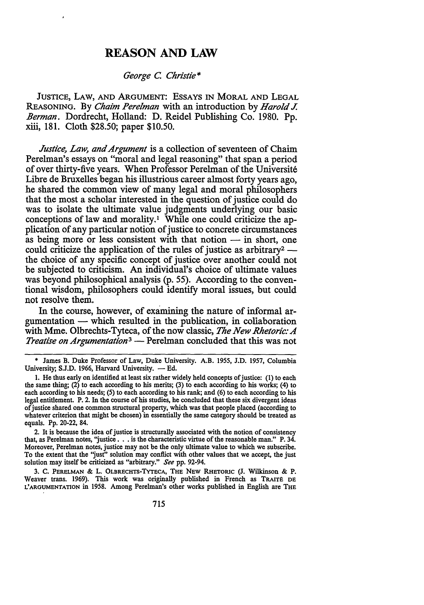## **REASON AND LAW**

*George C. Christie\** 

JUSTICE, LAW, AND ARGUMENT: ESSAYS IN MORAL AND LEGAL REASONING. By *Chaim Perelman* with an introduction by *Harold J. Berman.* Dordrecht, Holland: D. Reidel Publishing Co. 1980. Pp. xiii, 181. Cloth \$28.50; paper \$10.50.

*Justice, Law, and Argument* is a collection of seventeen of Chaim Perelman's essays on "moral and legal reasoning" that span a period of over thirty-five years. When Professor Perelman of the Universite Libre de Bruxelles began his illustrious career almost forty years ago, he shared the common view of many legal and moral philosophers that the most a scholar interested in the question of justice could do was to isolate the ultimate value judgments underlying our basic conceptions of law and morality.<sup>1</sup> While one could criticize the application of any particular notion of justice to concrete circumstances as being more or less consistent with that notion  $-$  in short, one could criticize the application of the rules of justice as arbitrary<sup>2</sup> -the choice of any specific concept of justice over another could not be subjected to criticism. An individual's choice of ultimate values was beyond philosophical analysis (p. 55). According to the conventional wisdom, philosophers could identify moral issues, but could not resolve them.

In the course, however, of examining the nature of informal ar $g$ umentation  $-$  which resulted in the publication, in collaboration with Mme. Olbrechts-Tyteca, of the now classic, *The New Rhetoric: A Treatise on Argumentation*<sup>3</sup> — Perelman concluded that this was not

2. It is because the idea of justice is structurally associated with the notion of consistency that, as Perelman notes, "justice . . . is the characteristic virtue of the reasonable man." P. 34. Moreover, Perelman notes, justice may not be the only ultimate value to which we subscribe. To the extent that the "just" solution may conflict with other values that we accept, the just solution may itself be criticized as "arbitrary." *See* pp. 92-94.

3. C. PERELMAN & L. OLBRECHTS-TYTECA, THE NEW RHETORIC (J. Wilkinson & P. Weaver trans. 1969). This work was originally published in French as TRAITE DE L'ARGUMENTATION in 1958. Among Perelman's other works published in English are THE

James B. Duke Professor of Law, Duke University. A.B. 1955, J.D. 1957, Columbia University; S.J.D. 1966, Harvard University. - Ed.

<sup>1.</sup> He thus early on identified at least six rather widely held concepts of justice: (1) to each the same thing;  $(2)$  to each according to his merits;  $(3)$  to each according to his works;  $(4)$  to each according to his needs; (5) to each according to his rank; and (6) to each according to his legal entitlement. P. 2. In the course of his studies, he concluded that these six divergent ideas of justice shared one common structural property, which was that people placed (according to whatever criterion that might be chosen) in essentially the same category should be treated as equals. Pp. 20-22, 84.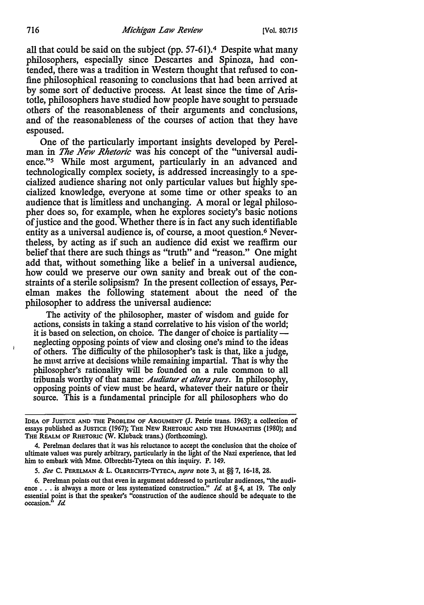all that could be said on the subject (pp. 57-61).4 Despite what many philosophers, especially since Descartes and Spinoza, had contended, there was a tradition in Western thought that refused to confine philosophical reasoning to conclusions that had been arrived at by some sort of deductive process. At least since the time of Aristotle, philosophers have studied how people have sought to persuade others of the reasonableness of their arguments and conclusions, and of the reasonableness of the courses of action that they have espoused.

One of the particularly important insights developed by Perelman in *The New Rhetoric* was his concept of the "universal audience."5 While most argument, particularly in an advanced and technologically complex society, is addressed increasingly to a specialized audience sharing not only particular values but highly specialized knowledge, everyone at some time or other speaks to an audience that is limitless and unchanging. A moral or legal philosopher does so, for example, when he explores society's basic notions of justice and the good. Whether there is in fact any such identifiable entity as a universal audience is, of course, a moot question.6 Nevertheless, by acting as if such an audience did exist we reaffirm our belief that there are such things as "truth" and "reason." One might add that, without something like a belief in a universal audience, how could we preserve our own sanity and break out of the constraints of a sterile solipsism? In the present collection of essays, Perelman makes the following statement about the need of the philosopher to address the universal audience:

The activity of the philosopher, master of wisdom and guide for actions, consists in taking a stand correlative to his vision of the world; it is based on selection, on choice. The danger of choice is partiality neglecting opposing points of view and closing one's mind to the ideas of others. The difficulty of the philosopher's task is that, like a judge, he must arrive at decisions while remaining impartial. That is why the philosopher's rationality will be founded on a rule common to all tribunals worthy of that name: *Audiatur et a/tera pars.* In philosophy, opposing points of view must be heard, whatever their nature or their source. This is a fundamental principle for all philosophers who do

*5. See* C. PERELMAN & L. OLBRECHTS-TYTECA, *supra* note 3, at§§ 7, 16-18, 28.

6. Perelman points out that even in argument addressed to particular audiences, "the audi-ence .•• is always a more or less systematized construction." *Id* at § 4, al 19. The only essential point is that the speaker's "construction of the audience should be adequate to the occasion." *Id* 

IDEA OF JUSTICE AND THE PROBLEM OF ARGUMENT (J. Petrie trans. 1963); a collection of essays published as JUSTICE (1967); THE NEW RHETORIC AND THE HUMANITIES (1980); and THE REALM OF RHETORIC (W. Kluback trans.) (forthcoming).

<sup>4.</sup> Perelman declares that it was his reluctance to accept the conclusion that the choice of ultimate values was purely arbitrary, particularly in the light of the Nazi experience, that led him to embark with Mme. Olbrechts-Tyteca on this inquiry. P. 149.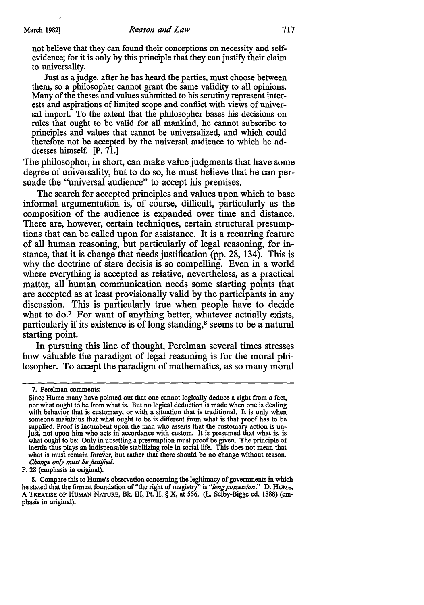not believe that they can found their conceptions on necessity and selfevidence; for it is only by this principle that they can justify their claim to universality.

Just as a judge, after he has heard the parties, must choose between them, so a philosopher cannot grant the same validity to all opinions. Many of the theses and values submitted to his scrutiny represent interests and aspirations of limited scope and conflict with views of universal import. To the extent that the philosopher bases his decisions on rules that ought to be valid for all mankind, he cannot subscribe to principles and values that cannot be universalized, and which could therefore not be accepted by the universal audience to which he addresses himself. [P. 71.]

The philosopher, in short, can make value judgments that have some degree of universality, but to do so, he must believe that he can persuade the "universal audience" to accept his premises.

The search for accepted principles and values upon which to base informal argumentation is, of course, difficult, particularly as the composition of the audience is expanded over time and distance. There are, however, certain techniques, certain structural presumptions that can be called upon for assistance. It is a recurring feature of all human reasoning, but particularly of legal reasoning, for instance, that it is change that needs justification (pp. 28, 134). This is why the doctrine of stare decisis is so compelling. Even in a world where everything is accepted as relative, nevertheless, as a practical matter, all human communication needs some starting points that are accepted as at least provisionally valid by the participants in any discussion. This is particularly true when people have to decide what to do.<sup>7</sup> For want of anything better, whatever actually exists, particularly if its existence is of long standing, 8 seems to be a natural starting point.

In pursuing this line of thought, Perelman several times stresses how valuable the paradigm of legal reasoning is for the moral philosopher. To accept the paradigm of mathematics, as so many moral

P. 28 (emphasis in original).

<sup>7.</sup> Perelman comments:

Since Hume many have pointed out that one cannot logically deduce a right from a fact, nor what ought to be from what is. But no logical deduction is made when one is dealing with behavior that is customary, or with a situation that is traditional. It is only when someone maintains that what ought to be is different from what is that proof has to be supplied. Proof is incumbent upon the man who asserts that the customary action is un-<br>just, not upon him who acts in accordance with custom. It is presumed that what is, is what ought to be: Only in upsetting a presumption must proof be given. The principle of inertia thus plays an indispensable stabilizing role in social life. This does not mean that what is must remain forever, but rather that there should be no change without reason. *Change only must be justified.* 

<sup>8.</sup> Compare this to Hume's observation concerning the legitimacy of governments in which he stated that the firmest foundation of "the right of magistry" is *"long possession."* D. HUME, A TREATISE OF HUMAN NATURE, Bk. III, Pt. II, § X, at 556. (L. Selby-Bigge ed. 1888) (emphasis in original).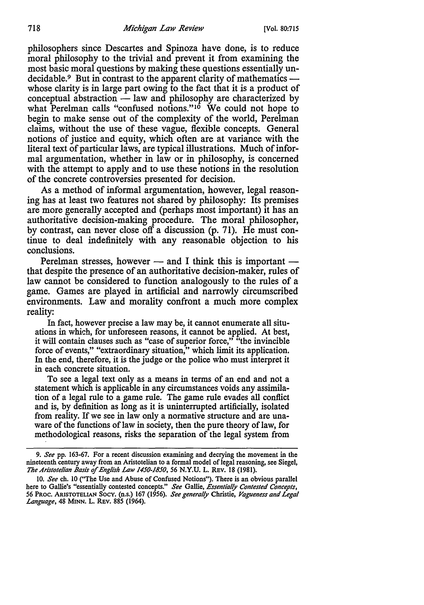philosophers since Descartes and Spinoza have done, is to reduce moral philosophy to the trivial and prevent it from examining the most basic moral questions by making these questions essentially undecidable.<sup>9</sup> But in contrast to the apparent clarity of mathematics — whose clarity is in large part owing to the fact that it is a product of conceptual abstraction - law and philosophy are characterized by what Perelman calls "confused notions." $10$  We could not hope to begin to make sense out of the complexity of the world, Perelman claims, without the use of these vague, flexible concepts. General notions of justice and equity, which often are at variance with the literal text of particular laws, are typical illustrations. Much of informal argumentation, whether in law or in philosophy, is concerned with the attempt to apply and to use these notions in the resolution of the concrete controversies presented for decision.

As a method of informal argumentation, however, legal reasoning has at least two features not shared by philosophy: Its premises are more generally accepted and (perhaps most important) it has an authoritative decision-making procedure. The moral philosopher, by contrast, can never close off a discussion (p. 71). He must continue to deal indefinitely with any reasonable objection to his conclusions.

Perelman stresses, however  $-$  and I think this is important  $-$  that despite the presence of an authoritative decision-maker, rules of law cannot be considered to function analogously to the rules of a game. Games are played in artificial and narrowly circumscribed environments. Law and morality confront a much more complex reality:

In fact, however precise a law may be, it cannot enumerate all situations in which, for unforeseen reasons, it cannot be applied. At best, it will contain clauses such as "case of superior force," "the invincible force of events," "extraordinary situation," which limit its application. In the end, therefore, it is the judge or the police who must interpret it in each concrete situation.

To see a legal text only as a means in terms of an end and not a statement which is applicable in any circumstances voids any assimilation of a legal rule to a game rule. The game rule evades all conflict and is, by definition as long as it is uninterrupted artificially, isolated from reality. If we see in law only a normative structure and are unaware of the functions of law in society, then the pure theory of law, for methodological reasons, risks the separation of the legal system from

<sup>9.</sup> *See* pp. 163-67. For a recent discussion examining and decrying the movement in the nineteenth century away from an Aristotelian to a formal model of legal reasoning, see Siegel, *Tlte Aristotelian Basis* ef *English Law 1450-1850, 56* N.Y.U. L. REV. 18 (1981).

<sup>10.</sup> *See* ch. 10 (''The Use and Abuse of Confused Notions"). There is an obvious parallel here to Gallie's "essentially contested concepts." *See* Gallie, *Essentially Contested Concepts, 56* PROC. ARISTOTELIAN SocY. (n.s.) 167 (1956). *See generally* Christie, *Vagueness and Legal Language,* 48 MINN. L. REV. 885 (1964).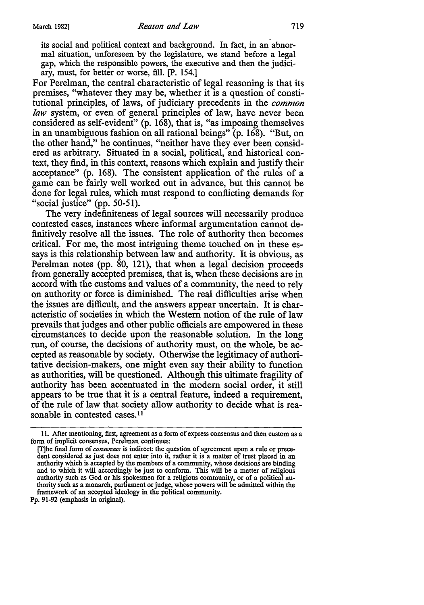its social and political context and background. In fact, in an abnormal situation, unforeseen by the legislature, we stand before a legal gap, which the responsible powers, the executive and then the judiciary, must, for better or worse, fill. [P. 154.]

For Perelman, the central characteristic of legal reasoning is that its premises, ''whatever they may be, whether it is a question of constitutional principles, of laws, of judiciary precedents in the *common law* system, or even of general principles of law, have never been considered as self-evident" (p. 168), that is, "as imposing themselves in an unambiguous fashion on all rational beings" (p. 168). "But, on the other hand," he continues, "neither have they ever been considered as arbitrary. Situated in a social, political, and historical context, they find, in this context, reasons which explain and justify their acceptance" (p. 168). The consistent application of the rules of a game can be fairly well worked out in advance, but this cannot be done for legal rules, which must respond to conflicting demands for "social justice" (pp. 50-51).

The very indefiniteness of legal sources will necessarily produce contested cases, instances where informal argumentation cannot definitively resolve all the issues. The role of authority then becomes critical. For me, the most intriguing theme touched on in these essays is this relationship between law and authority. It is obvious, as Perelman notes (pp. 80, 121), that when a legal decision proceeds from generally accepted premises, that is, when these decisions are in accord with the customs and values of a community, the need to rely on authority or force is diminished. The real difficulties arise when the issues are difficult, and the answers appear uncertain. It is characteristic of societies in which the Western notion of the rule of law prevails that judges and other public officials are empowered in these circumstances to decide upon the reasonable solution. In the long run, of course, the decisions of authority must, on the whole, be accepted as reasonable by society. Otherwise the legitimacy of authoritative decision-makers, one might even say their ability to function as authorities, will be questioned. Although this ultimate fragility of authority has been accentuated in the modem social order, it still appears to be true that it is a central feature, indeed a requirement, of the rule of law that society allow authority to decide what is reasonable in contested cases.<sup>11</sup>

<sup>11.</sup> After mentioning, first, agreement as a form of express consensus and then custom as a form of implicit consensus, Perelman continues:

<sup>[</sup>T]he final form of *consensus* is indirect: the question of agreement upon a rule or precedent considered as just does not enter into it, rather it is a matter of trust placed in an authority which is accepted by the members of a community, whose decisions are binding and to which it will accordingly be just to conform. This will be a matter of religious authority such as God or his spokesmen for a religious community, or of a political authority such as a monarch, parliament or judge, whose powers will be admitted within the framework of an accepted ideology in the political community.

Pp. 91-92 (emphasis in original).